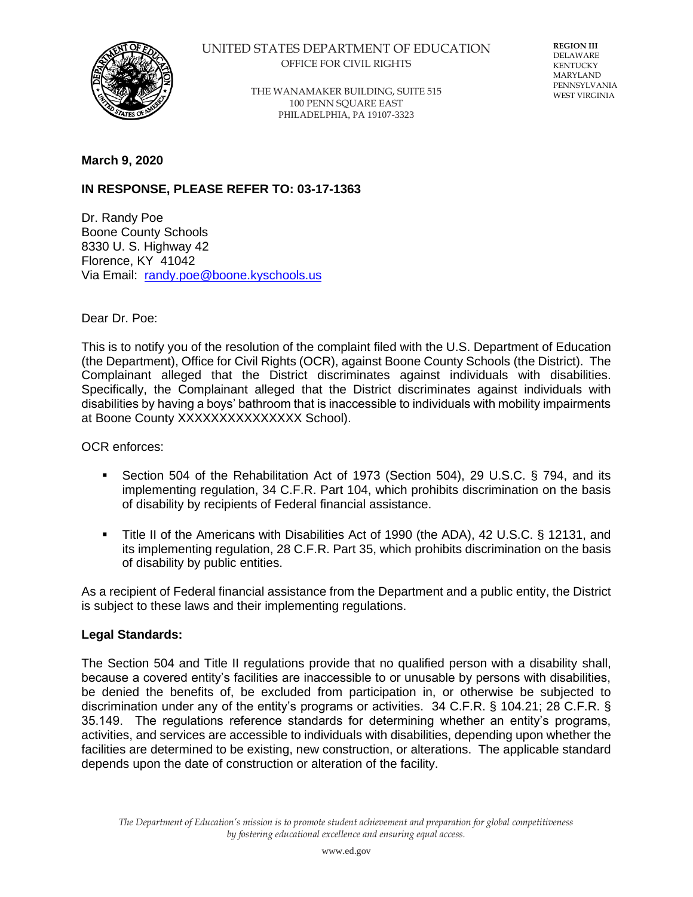

### UNITED STATES DEPARTMENT OF EDUCATION OFFICE FOR CIVIL RIGHTS

THE WANAMAKER BUILDING, SUITE 515 100 PENN SQUARE EAST PHILADELPHIA, PA 19107-3323

**REGION III** DELAWARE **KENTUCKY** MARYLAND PENNSYLVANIA WEST VIRGINIA

## **March 9, 2020**

# **IN RESPONSE, PLEASE REFER TO: 03-17-1363**

Dr. Randy Poe Boone County Schools 8330 U. S. Highway 42 Florence, KY 41042 Via Email: [randy.poe@boone.kyschools.us](mailto:randy.poe@boone.kyschools.us)

Dear Dr. Poe:

This is to notify you of the resolution of the complaint filed with the U.S. Department of Education (the Department), Office for Civil Rights (OCR), against Boone County Schools (the District). The Complainant alleged that the District discriminates against individuals with disabilities. Specifically, the Complainant alleged that the District discriminates against individuals with disabilities by having a boys' bathroom that is inaccessible to individuals with mobility impairments at Boone County XXXXXXXXXXXXXXX School).

OCR enforces:

- Section 504 of the Rehabilitation Act of 1973 (Section 504), 29 U.S.C. § 794, and its implementing regulation, 34 C.F.R. Part 104, which prohibits discrimination on the basis of disability by recipients of Federal financial assistance.
- Title II of the Americans with Disabilities Act of 1990 (the ADA), 42 U.S.C. § 12131, and its implementing regulation, 28 C.F.R. Part 35, which prohibits discrimination on the basis of disability by public entities.

As a recipient of Federal financial assistance from the Department and a public entity, the District is subject to these laws and their implementing regulations.

#### **Legal Standards:**

The Section 504 and Title II regulations provide that no qualified person with a disability shall, because a covered entity's facilities are inaccessible to or unusable by persons with disabilities, be denied the benefits of, be excluded from participation in, or otherwise be subjected to discrimination under any of the entity's programs or activities. 34 C.F.R. § 104.21; 28 C.F.R. § 35.149. The regulations reference standards for determining whether an entity's programs, activities, and services are accessible to individuals with disabilities, depending upon whether the facilities are determined to be existing, new construction, or alterations. The applicable standard depends upon the date of construction or alteration of the facility.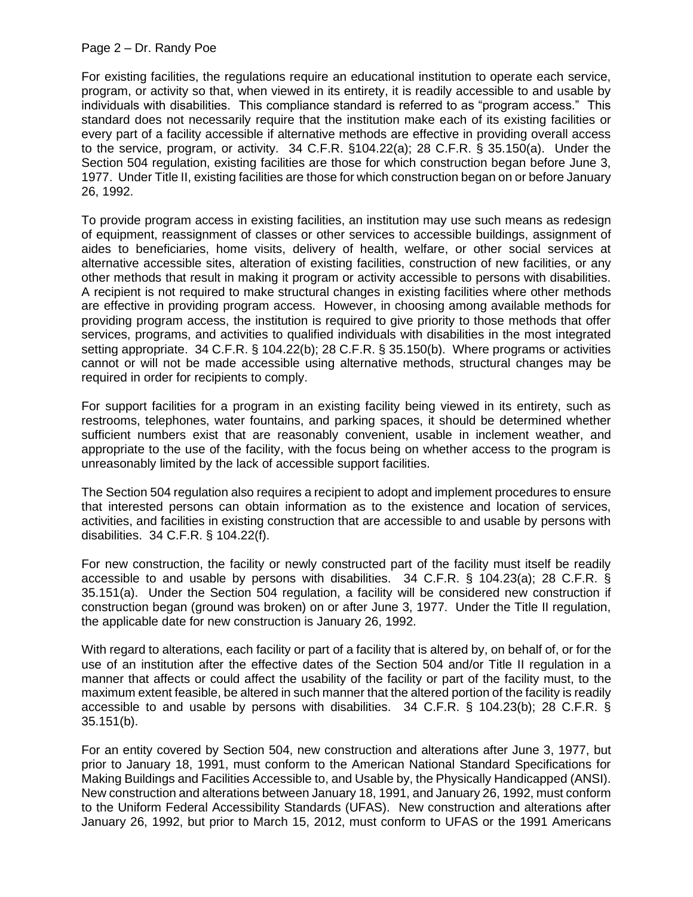For existing facilities, the regulations require an educational institution to operate each service, program, or activity so that, when viewed in its entirety, it is readily accessible to and usable by individuals with disabilities. This compliance standard is referred to as "program access." This standard does not necessarily require that the institution make each of its existing facilities or every part of a facility accessible if alternative methods are effective in providing overall access to the service, program, or activity. 34 C.F.R. §104.22(a); 28 C.F.R. § 35.150(a). Under the Section 504 regulation, existing facilities are those for which construction began before June 3, 1977. Under Title II, existing facilities are those for which construction began on or before January 26, 1992.

To provide program access in existing facilities, an institution may use such means as redesign of equipment, reassignment of classes or other services to accessible buildings, assignment of aides to beneficiaries, home visits, delivery of health, welfare, or other social services at alternative accessible sites, alteration of existing facilities, construction of new facilities, or any other methods that result in making it program or activity accessible to persons with disabilities. A recipient is not required to make structural changes in existing facilities where other methods are effective in providing program access. However, in choosing among available methods for providing program access, the institution is required to give priority to those methods that offer services, programs, and activities to qualified individuals with disabilities in the most integrated setting appropriate. 34 C.F.R. § 104.22(b); 28 C.F.R. § 35.150(b). Where programs or activities cannot or will not be made accessible using alternative methods, structural changes may be required in order for recipients to comply.

For support facilities for a program in an existing facility being viewed in its entirety, such as restrooms, telephones, water fountains, and parking spaces, it should be determined whether sufficient numbers exist that are reasonably convenient, usable in inclement weather, and appropriate to the use of the facility, with the focus being on whether access to the program is unreasonably limited by the lack of accessible support facilities.

The Section 504 regulation also requires a recipient to adopt and implement procedures to ensure that interested persons can obtain information as to the existence and location of services, activities, and facilities in existing construction that are accessible to and usable by persons with disabilities. 34 C.F.R. § 104.22(f).

For new construction, the facility or newly constructed part of the facility must itself be readily accessible to and usable by persons with disabilities. 34 C.F.R. § 104.23(a); 28 C.F.R. § 35.151(a). Under the Section 504 regulation, a facility will be considered new construction if construction began (ground was broken) on or after June 3, 1977. Under the Title II regulation, the applicable date for new construction is January 26, 1992.

With regard to alterations, each facility or part of a facility that is altered by, on behalf of, or for the use of an institution after the effective dates of the Section 504 and/or Title II regulation in a manner that affects or could affect the usability of the facility or part of the facility must, to the maximum extent feasible, be altered in such manner that the altered portion of the facility is readily accessible to and usable by persons with disabilities. 34 C.F.R. § 104.23(b); 28 C.F.R. § 35.151(b).

For an entity covered by Section 504, new construction and alterations after June 3, 1977, but prior to January 18, 1991, must conform to the American National Standard Specifications for Making Buildings and Facilities Accessible to, and Usable by, the Physically Handicapped (ANSI). New construction and alterations between January 18, 1991, and January 26, 1992, must conform to the Uniform Federal Accessibility Standards (UFAS). New construction and alterations after January 26, 1992, but prior to March 15, 2012, must conform to UFAS or the 1991 Americans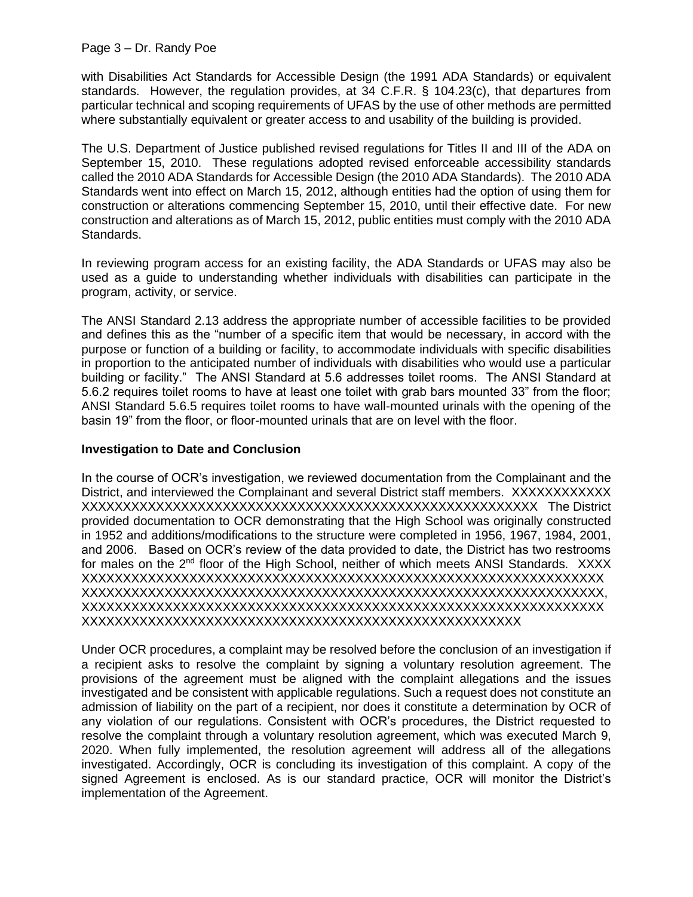with Disabilities Act Standards for Accessible Design (the 1991 ADA Standards) or equivalent standards. However, the regulation provides, at 34 C.F.R. § 104.23(c), that departures from particular technical and scoping requirements of UFAS by the use of other methods are permitted where substantially equivalent or greater access to and usability of the building is provided.

The U.S. Department of Justice published revised regulations for Titles II and III of the ADA on September 15, 2010. These regulations adopted revised enforceable accessibility standards called the 2010 ADA Standards for Accessible Design (the 2010 ADA Standards). The 2010 ADA Standards went into effect on March 15, 2012, although entities had the option of using them for construction or alterations commencing September 15, 2010, until their effective date. For new construction and alterations as of March 15, 2012, public entities must comply with the 2010 ADA Standards.

In reviewing program access for an existing facility, the ADA Standards or UFAS may also be used as a guide to understanding whether individuals with disabilities can participate in the program, activity, or service.

The ANSI Standard 2.13 address the appropriate number of accessible facilities to be provided and defines this as the "number of a specific item that would be necessary, in accord with the purpose or function of a building or facility, to accommodate individuals with specific disabilities in proportion to the anticipated number of individuals with disabilities who would use a particular building or facility." The ANSI Standard at 5.6 addresses toilet rooms. The ANSI Standard at 5.6.2 requires toilet rooms to have at least one toilet with grab bars mounted 33" from the floor; ANSI Standard 5.6.5 requires toilet rooms to have wall-mounted urinals with the opening of the basin 19" from the floor, or floor-mounted urinals that are on level with the floor.

## **Investigation to Date and Conclusion**

In the course of OCR's investigation, we reviewed documentation from the Complainant and the District, and interviewed the Complainant and several District staff members. XXXXXXXXXXXX XXXXXXXXXXXXXXXXXXXXXXXXXXXXXXXXXXXXXXXXXXXXXXXXXXXXXXX The District provided documentation to OCR demonstrating that the High School was originally constructed in 1952 and additions/modifications to the structure were completed in 1956, 1967, 1984, 2001, and 2006. Based on OCR's review of the data provided to date, the District has two restrooms for males on the 2<sup>nd</sup> floor of the High School, neither of which meets ANSI Standards. XXXX XXXXXXXXXXXXXXXXXXXXXXXXXXXXXXXXXXXXXXXXXXXXXXXXXXXXXXXXXXXXXXX XXXXXXXXXXXXXXXXXXXXXXXXXXXXXXXXXXXXXXXXXXXXXXXXXXXXXXXXXXXXXXX, XXXXXXXXXXXXXXXXXXXXXXXXXXXXXXXXXXXXXXXXXXXXXXXXXXXXXXXXXXXXXXX XXXXXXXXXXXXXXXXXXXXXXXXXXXXXXXXXXXXXXXXXXXXXXXXXXXXX

Under OCR procedures, a complaint may be resolved before the conclusion of an investigation if a recipient asks to resolve the complaint by signing a voluntary resolution agreement. The provisions of the agreement must be aligned with the complaint allegations and the issues investigated and be consistent with applicable regulations. Such a request does not constitute an admission of liability on the part of a recipient, nor does it constitute a determination by OCR of any violation of our regulations. Consistent with OCR's procedures, the District requested to resolve the complaint through a voluntary resolution agreement, which was executed March 9, 2020. When fully implemented, the resolution agreement will address all of the allegations investigated. Accordingly, OCR is concluding its investigation of this complaint. A copy of the signed Agreement is enclosed. As is our standard practice, OCR will monitor the District's implementation of the Agreement.